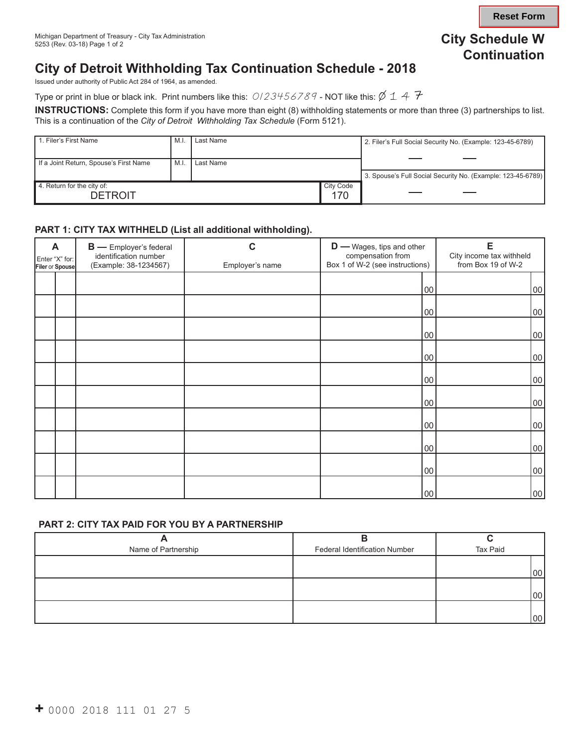# **Continuation City Schedule W**

## **City of Detroit Withholding Tax Continuation Schedule - 2018**

Issued under authority of Public Act 284 of 1964, as amended.

Type or print in blue or black ink. Print numbers like this:  $0/23456789$  - NOT like this:  $\emptyset$  1 4  $\mathcal F$ 

**INSTRUCTIONS:** Complete this form if you have more than eight (8) withholding statements or more than three (3) partnerships to list. This is a continuation of the *City of Detroit Withholding Tax Schedule* (Form 5121).

| 1. Filer's First Name                        | M.I  | Last Name |                         | 2. Filer's Full Social Security No. (Example: 123-45-6789)  |
|----------------------------------------------|------|-----------|-------------------------|-------------------------------------------------------------|
| If a Joint Return, Spouse's First Name       | M.I. | Last Name |                         |                                                             |
|                                              |      |           |                         | 3. Spouse's Full Social Security No. (Example: 123-45-6789) |
| 4. Return for the city of:<br><b>DETROIT</b> |      |           | <b>City Code</b><br>170 |                                                             |

#### **PART 1: CITY TAX WITHHELD (List all additional withholding).**

| A<br>Enter "X" for:<br>Filer or Spouse |  | <b>B</b> - Employer's federal<br>identification number<br>(Example: 38-1234567) | C<br>Employer's name | $D$ — Wages, tips and other<br>compensation from<br>Box 1 of W-2 (see instructions) | E<br>City income tax withheld<br>from Box 19 of W-2 |  |
|----------------------------------------|--|---------------------------------------------------------------------------------|----------------------|-------------------------------------------------------------------------------------|-----------------------------------------------------|--|
|                                        |  |                                                                                 |                      | 00                                                                                  | 00                                                  |  |
|                                        |  |                                                                                 |                      | 00                                                                                  | 00                                                  |  |
|                                        |  |                                                                                 |                      | 00                                                                                  | 00                                                  |  |
|                                        |  |                                                                                 |                      | 00                                                                                  | 00                                                  |  |
|                                        |  |                                                                                 |                      | 00                                                                                  | 00                                                  |  |
|                                        |  |                                                                                 |                      | 00                                                                                  | 00                                                  |  |
|                                        |  |                                                                                 |                      | 00                                                                                  | 00                                                  |  |
|                                        |  |                                                                                 |                      | 00                                                                                  | 00                                                  |  |
|                                        |  |                                                                                 |                      | 00                                                                                  | 00                                                  |  |
|                                        |  |                                                                                 |                      | 00                                                                                  | 00                                                  |  |

#### **PART 2: CITY TAX PAID FOR YOU BY A PARTNERSHIP**

| Name of Partnership | <b>Federal Identification Number</b> | Tax Paid        |
|---------------------|--------------------------------------|-----------------|
|                     |                                      |                 |
|                     |                                      | 00 <sub>1</sub> |
|                     |                                      |                 |
|                     |                                      | $00\,$          |
|                     |                                      |                 |
|                     |                                      | 00 <sup>1</sup> |